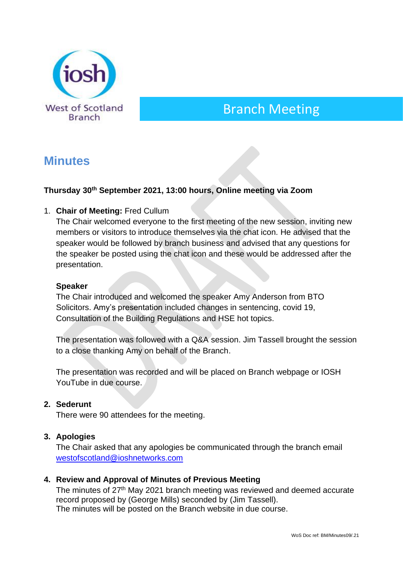

# Branch Meeting

# **Minutes**

# **Thursday 30th September 2021, 13:00 hours, Online meeting via Zoom**

#### 1. **Chair of Meeting:** Fred Cullum

The Chair welcomed everyone to the first meeting of the new session, inviting new members or visitors to introduce themselves via the chat icon. He advised that the speaker would be followed by branch business and advised that any questions for the speaker be posted using the chat icon and these would be addressed after the presentation.

#### **Speaker**

The Chair introduced and welcomed the speaker Amy Anderson from BTO Solicitors. Amy's presentation included changes in sentencing, covid 19, Consultation of the Building Regulations and HSE hot topics.

The presentation was followed with a Q&A session. Jim Tassell brought the session to a close thanking Amy on behalf of the Branch.

The presentation was recorded and will be placed on Branch webpage or IOSH YouTube in due course.

#### **2. Sederunt**

There were 90 attendees for the meeting.

#### **3. Apologies**

The Chair asked that any apologies be communicated through the branch email [westofscotland@ioshnetworks.com](about:blank)

#### **4. Review and Approval of Minutes of Previous Meeting**

The minutes of 27<sup>th</sup> May 2021 branch meeting was reviewed and deemed accurate record proposed by (George Mills) seconded by (Jim Tassell). The minutes will be posted on the Branch website in due course.